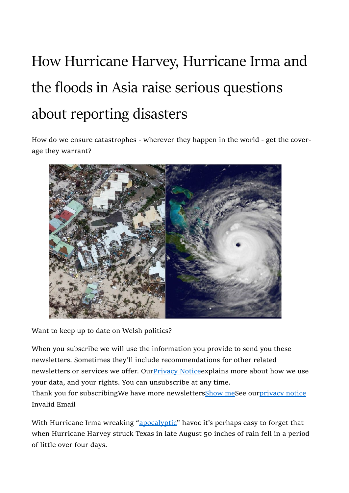## How Hurricane Harvey, Hurricane Irma and the floods in Asia raise serious questions about reporting disasters

How do we ensure catastrophes - wherever they happen in the world - get the coverage they warrant?



Want to keep up to date on Welsh politics?

When you subscribe we will use the information you provide to send you these newsletters. Sometimes they'll include recommendations for other related newsletters or services we offer. Our Privacy Notice explains more about how we use your data, and your rights. You can unsubscribe at any time.

Thank you for subscribingWe have more newsletters**Show meSee ourprivacy notice** Invalid Email

With Hurricane Irma wreaking "apocalyptic" havoc it's perhaps easy to forget that when Hurricane Harvey struck Texas in late August 50 inches of rain fell in a period of little over four days.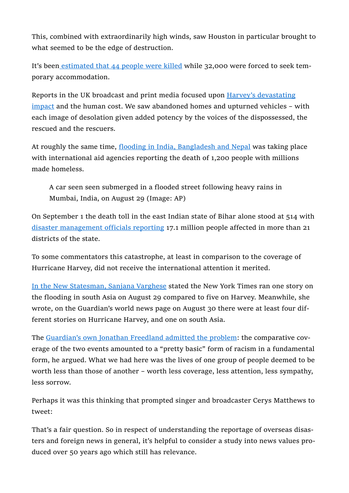This, combined with extraordinarily high winds, saw Houston in particular brought to what seemed to be the edge of destruction.

It's been estimated that 44 people were killed while 32,000 were forced to seek temporary accommodation.

Reports in the UK broadcast and print media focused upon Harvey's devastating impact and the human cost. We saw abandoned homes and upturned vehicles – with each image of desolation given added potency by the voices of the dispossessed, the rescued and the rescuers.

At roughly the same time, flooding in India, Bangladesh and Nepal was taking place with international aid agencies reporting the death of 1,200 people with millions made homeless.

A car seen seen submerged in a flooded street following heavy rains in Mumbai, India, on August 29 (Image: AP)

On September 1 the death toll in the east Indian state of Bihar alone stood at 514 with disaster management officials reporting 17.1 million people affected in more than 21 districts of the state.

To some commentators this catastrophe, at least in comparison to the coverage of Hurricane Harvey, did not receive the international attention it merited.

In the New Statesman, Sanjana Varghese stated the New York Times ran one story on the flooding in south Asia on August 29 compared to five on Harvey. Meanwhile, she wrote, on the Guardian's world news page on August 30 there were at least four different stories on Hurricane Harvey, and one on south Asia.

The Guardian's own Jonathan Freedland admitted the problem: the comparative coverage of the two events amounted to a "pretty basic" form of racism in a fundamental form, he argued. What we had here was the lives of one group of people deemed to be worth less than those of another – worth less coverage, less attention, less sympathy, less sorrow.

Perhaps it was this thinking that prompted singer and broadcaster Cerys Matthews to tweet:

That's a fair question. So in respect of understanding the reportage of overseas disasters and foreign news in general, it's helpful to consider a study into news values produced over 50 years ago which still has relevance.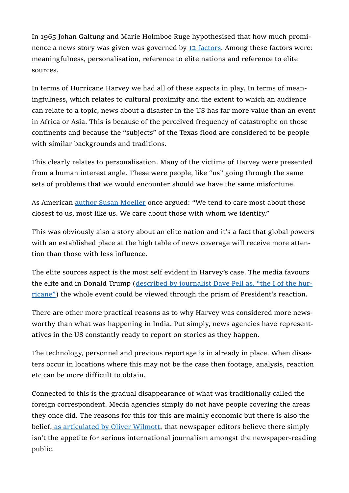In 1965 Johan Galtung and Marie Holmboe Ruge hypothesised that how much prominence a news story was given was governed by 12 factors. Among these factors were: meaningfulness, personalisation, reference to elite nations and reference to elite sources.

In terms of Hurricane Harvey we had all of these aspects in play. In terms of meaningfulness, which relates to cultural proximity and the extent to which an audience can relate to a topic, news about a disaster in the US has far more value than an event in Africa or Asia. This is because of the perceived frequency of catastrophe on those continents and because the "subjects" of the Texas flood are considered to be people with similar backgrounds and traditions.

This clearly relates to personalisation. Many of the victims of Harvey were presented from a human interest angle. These were people, like "us" going through the same sets of problems that we would encounter should we have the same misfortune.

As American author Susan Moeller once argued: "We tend to care most about those closest to us, most like us. We care about those with whom we identify."

This was obviously also a story about an elite nation and it's a fact that global powers with an established place at the high table of news coverage will receive more attention than those with less influence.

The elite sources aspect is the most self evident in Harvey's case. The media favours the elite and in Donald Trump (described by journalist Dave Pell as, "the I of the hurricane") the whole event could be viewed through the prism of President's reaction.

There are other more practical reasons as to why Harvey was considered more newsworthy than what was happening in India. Put simply, news agencies have representatives in the US constantly ready to report on stories as they happen.

The technology, personnel and previous reportage is in already in place. When disasters occur in locations where this may not be the case then footage, analysis, reaction etc can be more difficult to obtain.

Connected to this is the gradual disappearance of what was traditionally called the foreign correspondent. Media agencies simply do not have people covering the areas they once did. The reasons for this for this are mainly economic but there is also the belief, as articulated by Oliver Wilmott, that newspaper editors believe there simply isn't the appetite for serious international journalism amongst the newspaper-reading public.